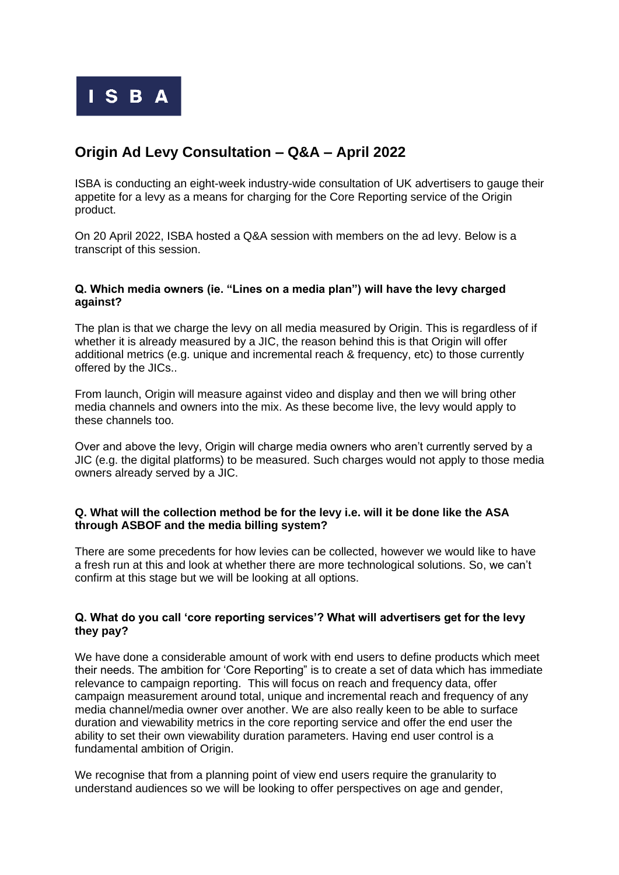

# **Origin Ad Levy Consultation – Q&A – April 2022**

ISBA is conducting an eight-week industry-wide consultation of UK advertisers to gauge their appetite for a levy as a means for charging for the Core Reporting service of the Origin product.

On 20 April 2022, ISBA hosted a Q&A session with members on the ad levy. Below is a transcript of this session.

### **Q. Which media owners (ie. "Lines on a media plan") will have the levy charged against?**

The plan is that we charge the levy on all media measured by Origin. This is regardless of if whether it is already measured by a JIC, the reason behind this is that Origin will offer additional metrics (e.g. unique and incremental reach & frequency, etc) to those currently offered by the JICs..

From launch, Origin will measure against video and display and then we will bring other media channels and owners into the mix. As these become live, the levy would apply to these channels too.

Over and above the levy. Origin will charge media owners who aren't currently served by a JIC (e.g. the digital platforms) to be measured. Such charges would not apply to those media owners already served by a JIC.

## **Q. What will the collection method be for the levy i.e. will it be done like the ASA through ASBOF and the media billing system?**

There are some precedents for how levies can be collected, however we would like to have a fresh run at this and look at whether there are more technological solutions. So, we can't confirm at this stage but we will be looking at all options.

## **Q. What do you call 'core reporting services'? What will advertisers get for the levy they pay?**

We have done a considerable amount of work with end users to define products which meet their needs. The ambition for 'Core Reporting" is to create a set of data which has immediate relevance to campaign reporting. This will focus on reach and frequency data, offer campaign measurement around total, unique and incremental reach and frequency of any media channel/media owner over another. We are also really keen to be able to surface duration and viewability metrics in the core reporting service and offer the end user the ability to set their own viewability duration parameters. Having end user control is a fundamental ambition of Origin.

We recognise that from a planning point of view end users require the granularity to understand audiences so we will be looking to offer perspectives on age and gender,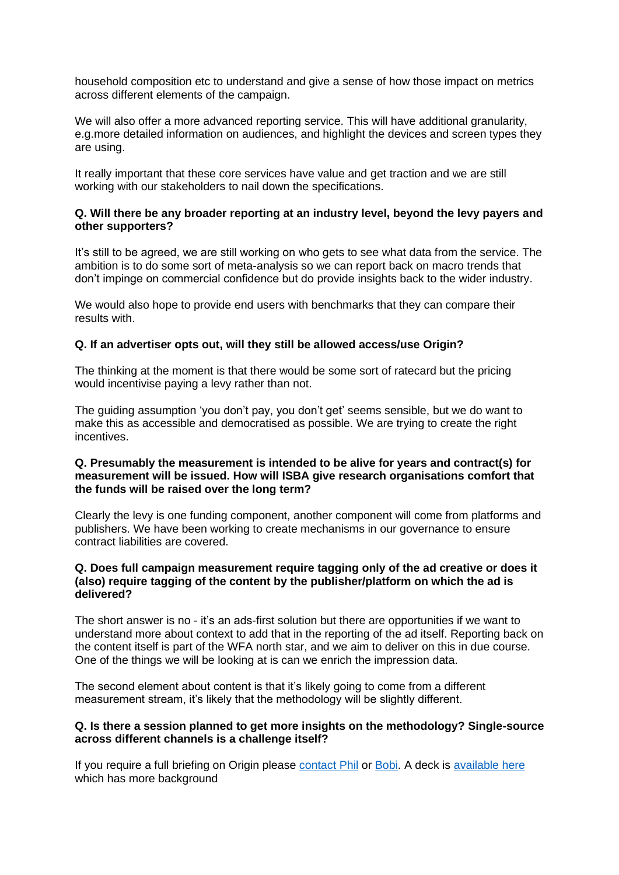household composition etc to understand and give a sense of how those impact on metrics across different elements of the campaign.

We will also offer a more advanced reporting service. This will have additional granularity, e.g.more detailed information on audiences, and highlight the devices and screen types they are using.

It really important that these core services have value and get traction and we are still working with our stakeholders to nail down the specifications.

### **Q. Will there be any broader reporting at an industry level, beyond the levy payers and other supporters?**

It's still to be agreed, we are still working on who gets to see what data from the service. The ambition is to do some sort of meta-analysis so we can report back on macro trends that don't impinge on commercial confidence but do provide insights back to the wider industry.

We would also hope to provide end users with benchmarks that they can compare their results with.

## **Q. If an advertiser opts out, will they still be allowed access/use Origin?**

The thinking at the moment is that there would be some sort of ratecard but the pricing would incentivise paying a levy rather than not.

The guiding assumption 'you don't pay, you don't get' seems sensible, but we do want to make this as accessible and democratised as possible. We are trying to create the right incentives.

#### **Q. Presumably the measurement is intended to be alive for years and contract(s) for measurement will be issued. How will ISBA give research organisations comfort that the funds will be raised over the long term?**

Clearly the levy is one funding component, another component will come from platforms and publishers. We have been working to create mechanisms in our governance to ensure contract liabilities are covered.

### **Q. Does full campaign measurement require tagging only of the ad creative or does it (also) require tagging of the content by the publisher/platform on which the ad is delivered?**

The short answer is no - it's an ads-first solution but there are opportunities if we want to understand more about context to add that in the reporting of the ad itself. Reporting back on the content itself is part of the WFA north star, and we aim to deliver on this in due course. One of the things we will be looking at is can we enrich the impression data.

The second element about content is that it's likely going to come from a different measurement stream, it's likely that the methodology will be slightly different.

#### **Q. Is there a session planned to get more insights on the methodology? Single-source across different channels is a challenge itself?**

If you require a full briefing on Origin please [contact Phil](mailto:PhilS@isba.org.uk) or [Bobi.](mailto:BobiC@isba.org.uk) A deck is [available here](https://www.isba.org.uk/system/files/media/documents/2022-03/Industry%20Consultation%20-%20Origin%20Levy.pdf) which has more background